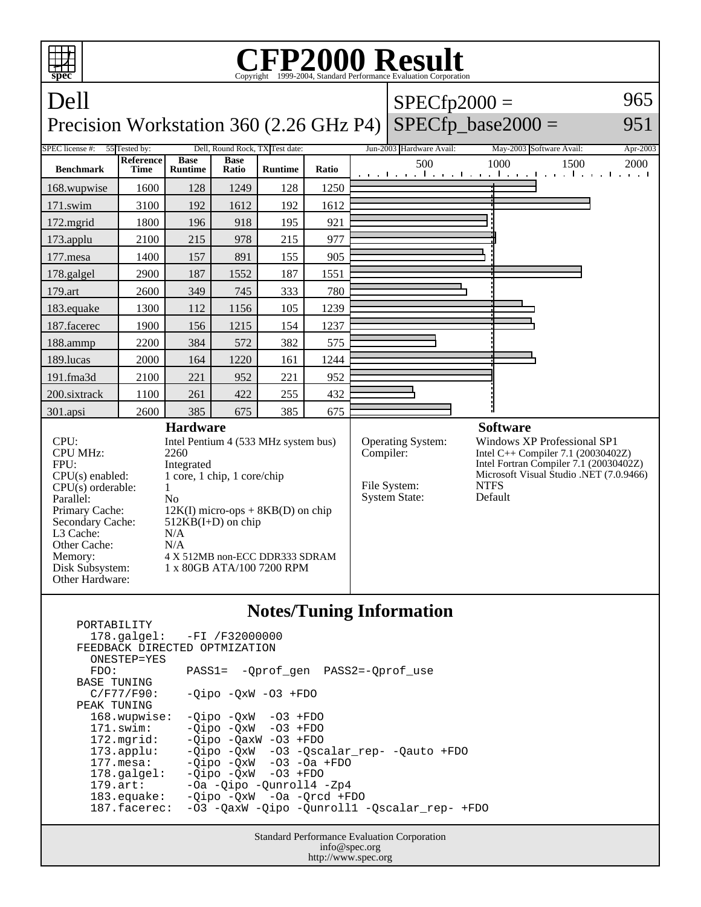| <b>CFP2000 Result</b><br>T<br>spec                                                                                                                                                                                                                                                                                                                                                                                                                                                    |                          |                               |                      |                |           |                                                                  |                                                                                                                                                                                                     |                                                        |          |  |
|---------------------------------------------------------------------------------------------------------------------------------------------------------------------------------------------------------------------------------------------------------------------------------------------------------------------------------------------------------------------------------------------------------------------------------------------------------------------------------------|--------------------------|-------------------------------|----------------------|----------------|-----------|------------------------------------------------------------------|-----------------------------------------------------------------------------------------------------------------------------------------------------------------------------------------------------|--------------------------------------------------------|----------|--|
| Dell                                                                                                                                                                                                                                                                                                                                                                                                                                                                                  |                          |                               |                      |                |           |                                                                  | $SPECfp2000 =$                                                                                                                                                                                      |                                                        | 965      |  |
| $SPECfp\_base2000 =$<br>Precision Workstation 360 (2.26 GHz P4)<br>951                                                                                                                                                                                                                                                                                                                                                                                                                |                          |                               |                      |                |           |                                                                  |                                                                                                                                                                                                     |                                                        |          |  |
| Dell, Round Rock, TX Test date:<br>SPEC license #:<br>55 Tested by:                                                                                                                                                                                                                                                                                                                                                                                                                   |                          |                               |                      |                |           |                                                                  | Jun-2003 Hardware Avail:                                                                                                                                                                            | May-2003 Software Avail:                               | Apr-2003 |  |
| <b>Benchmark</b>                                                                                                                                                                                                                                                                                                                                                                                                                                                                      | Reference<br><b>Time</b> | <b>Base</b><br><b>Runtime</b> | <b>Base</b><br>Ratio | <b>Runtime</b> | Ratio     |                                                                  | 500                                                                                                                                                                                                 | 1000<br>1500<br>المتواجب والمتواطن والمتواجب والمتواطن | 2000     |  |
| 168.wupwise                                                                                                                                                                                                                                                                                                                                                                                                                                                                           | 1600                     | 128                           | 1249                 | 128            | 1250      |                                                                  |                                                                                                                                                                                                     |                                                        |          |  |
| 171.swim                                                                                                                                                                                                                                                                                                                                                                                                                                                                              | 3100                     | 192                           | 1612                 | 192            | 1612      |                                                                  |                                                                                                                                                                                                     |                                                        |          |  |
| 172.mgrid                                                                                                                                                                                                                                                                                                                                                                                                                                                                             | 1800                     | 196                           | 918                  | 195            | 921       |                                                                  |                                                                                                                                                                                                     |                                                        |          |  |
| 173.applu                                                                                                                                                                                                                                                                                                                                                                                                                                                                             | 2100                     | 215                           | 978                  | 215            | 977       |                                                                  |                                                                                                                                                                                                     |                                                        |          |  |
| 177.mesa                                                                                                                                                                                                                                                                                                                                                                                                                                                                              | 1400                     | 157                           | 891                  | 155            | 905       |                                                                  |                                                                                                                                                                                                     |                                                        |          |  |
| 178.galgel                                                                                                                                                                                                                                                                                                                                                                                                                                                                            | 2900                     | 187                           | 1552                 | 187            | 1551      |                                                                  |                                                                                                                                                                                                     |                                                        |          |  |
| 179.art                                                                                                                                                                                                                                                                                                                                                                                                                                                                               | 2600                     | 349                           | 745                  | 333            | 780       |                                                                  |                                                                                                                                                                                                     |                                                        |          |  |
| 183.equake                                                                                                                                                                                                                                                                                                                                                                                                                                                                            | 1300                     | 112                           | 1156                 | 105            | 1239      |                                                                  |                                                                                                                                                                                                     |                                                        |          |  |
| 187.facerec                                                                                                                                                                                                                                                                                                                                                                                                                                                                           | 1900                     | 156                           | 1215                 | 154            | 1237      |                                                                  |                                                                                                                                                                                                     |                                                        |          |  |
| 188.ammp                                                                                                                                                                                                                                                                                                                                                                                                                                                                              | 2200                     | 384                           | 572                  | 382            | 575       |                                                                  |                                                                                                                                                                                                     |                                                        |          |  |
| 189.lucas                                                                                                                                                                                                                                                                                                                                                                                                                                                                             | 2000                     | 164                           | 1220                 | 161            | 1244      |                                                                  |                                                                                                                                                                                                     |                                                        |          |  |
| 191.fma3d                                                                                                                                                                                                                                                                                                                                                                                                                                                                             | 2100                     | 221                           | 952                  | 221            | 952       |                                                                  |                                                                                                                                                                                                     |                                                        |          |  |
| 200.sixtrack                                                                                                                                                                                                                                                                                                                                                                                                                                                                          | 1100                     | 261                           | 422                  | 255            | 432       |                                                                  |                                                                                                                                                                                                     |                                                        |          |  |
| 301.apsi                                                                                                                                                                                                                                                                                                                                                                                                                                                                              | 2600                     | 385                           | 675                  | 385            | 675       |                                                                  |                                                                                                                                                                                                     |                                                        |          |  |
| <b>Hardware</b><br>CPU:<br>Intel Pentium 4 (533 MHz system bus)<br><b>CPU MHz:</b><br>2260<br>FPU:<br>Integrated<br>1 core, 1 chip, 1 core/chip<br>$CPU(s)$ enabled:<br>$CPU(s)$ orderable:<br>1<br>Parallel:<br>No<br>Primary Cache:<br>$12K(I)$ micro-ops + $8KB(D)$ on chip<br>Secondary Cache:<br>$512KB(I+D)$ on chip<br>L3 Cache:<br>N/A<br>Other Cache:<br>N/A<br>Memory:<br>4 X 512MB non-ECC DDR333 SDRAM<br>1 x 80GB ATA/100 7200 RPM<br>Disk Subsystem:<br>Other Hardware: |                          |                               |                      |                | Compiler: | <b>Operating System:</b><br>File System:<br><b>System State:</b> | <b>Software</b><br>Windows XP Professional SP1<br>Intel C++ Compiler 7.1 (20030402Z)<br>Intel Fortran Compiler 7.1 (20030402Z)<br>Microsoft Visual Studio .NET (7.0.9466)<br><b>NTFS</b><br>Default |                                                        |          |  |
| <b>Notes/Tuning Information</b><br>PORTABILITY<br>178.galgel:<br>$-FI$ /F32000000<br>FEEDBACK DIRECTED OPTMIZATION                                                                                                                                                                                                                                                                                                                                                                    |                          |                               |                      |                |           |                                                                  |                                                                                                                                                                                                     |                                                        |          |  |

ONESTEP=YES<br>FDO: PASS1= -Qprof\_gen PASS2=-Qprof\_use BASE TUNING<br>C/F77/F90:  $-Qipo -QxW -O3 +FDO$ PEAK TUNING<br>168.wupwise:  $-Qipo -QxW -O3 +FDO$  171.swim: -Qipo -QxW -O3 +FDO 172.mgrid: -Qipo -QaxW -O3 +FDO<br>173.applu: -Qipo -QxW -O3 -Qsc 173.applu: -Qipo -QxW -O3 -Qscalar\_rep- -Qauto +FDO 177.mesa: -Qipo -QxW -O3 -Oa +FDO 178.galgel: -Qipo -QxW -O3 +FDO 179.art: -Oa -Qipo -Qunroll4 -Zp4 183.equake: -Qipo -QxW -Oa -Qrcd +FDO 187.facerec: -O3 -QaxW -Qipo -Qunroll1 -Qscalar\_rep- +FDO

> Standard Performance Evaluation Corporation info@spec.org http://www.spec.org